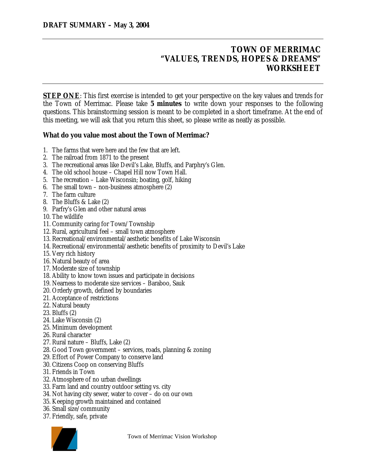## **TOWN OF MERRIMAC "VALUES, TRENDS, HOPES & DREAMS" WORKSHEET**

**STEP ONE:** This first exercise is intended to get your perspective on the key values and trends for the Town of Merrimac. Please take **5 minutes** to write down your responses to the following questions. This brainstorming session is meant to be completed in a short timeframe. At the end of this meeting, we will ask that you return this sheet, so please write as neatly as possible.

## **What do you value most about the Town of Merrimac?**

- 1. The farms that were here and the few that are left.
- 2. The railroad from 1871 to the present
- 3. The recreational areas like Devil's Lake, Bluffs, and Parphry's Glen.
- 4. The old school house Chapel Hill now Town Hall.
- 5. The recreation Lake Wisconsin; boating, golf, hiking
- 6. The small town non-business atmosphere (2)
- 7. The farm culture
- 8. The Bluffs & Lake (2)
- 9. Parfry's Glen and other natural areas
- 10. The wildlife
- 11. Community caring for Town/Township
- 12. Rural, agricultural feel small town atmosphere
- 13. Recreational/environmental/aesthetic benefits of Lake Wisconsin
- 14. Recreational/environmental/aesthetic benefits of proximity to Devil's Lake
- 15. Very rich history
- 16. Natural beauty of area
- 17. Moderate size of township
- 18. Ability to know town issues and participate in decisions
- 19. Nearness to moderate size services Baraboo, Sauk
- 20. Orderly growth, defined by boundaries
- 21. Acceptance of restrictions
- 22. Natural beauty
- 23. Bluffs (2)
- 24. Lake Wisconsin (2)
- 25. Minimum development
- 26. Rural character
- 27. Rural nature Bluffs, Lake (2)
- 28. Good Town government services, roads, planning & zoning
- 29. Effort of Power Company to conserve land
- 30. Citizens Coop on conserving Bluffs
- 31. Friends in Town
- 32. Atmosphere of no urban dwellings
- 33. Farm land and country outdoor setting vs. city
- 34. Not having city sewer, water to cover do on our own
- 35. Keeping growth maintained and contained
- 36. Small size/community
- 37. Friendly, safe, private



Town of Merrimac Vision Workshop